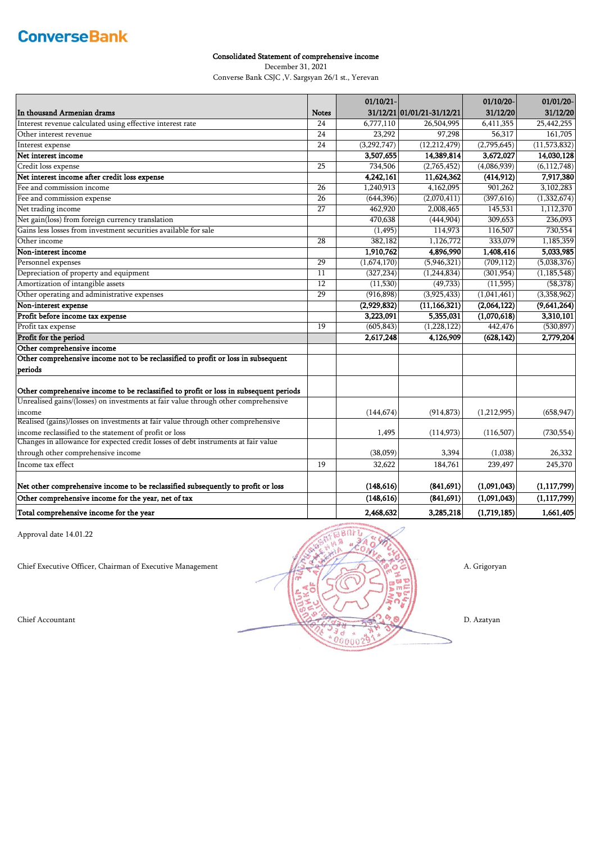### Consolidated Statement of comprehensive income

December 31, 2021

Converse Bank CSJC ,V. Sargsyan 26/1 st., Yerevan

|                                                                                       |                 | 01/10/21-   |                            | 01/10/20-   | 01/01/20-      |
|---------------------------------------------------------------------------------------|-----------------|-------------|----------------------------|-------------|----------------|
| In thousand Armenian drams                                                            | <b>Notes</b>    |             | 31/12/21 01/01/21-31/12/21 | 31/12/20    | 31/12/20       |
| Interest revenue calculated using effective interest rate                             | 24              | 6,777,110   | 26,504,995                 | 6,411,355   | 25,442,255     |
| Other interest revenue                                                                | 24              | 23,292      | 97,298                     | 56,317      | 161,705        |
| Interest expense                                                                      | $\overline{24}$ | (3,292,747) | (12, 212, 479)             | (2,795,645) | (11, 573, 832) |
| Net interest income                                                                   |                 | 3,507,655   | 14,389,814                 | 3,672,027   | 14,030,128     |
| Credit loss expense                                                                   | $\overline{25}$ | 734,506     | (2,765,452)                | (4,086,939) | (6, 112, 748)  |
| Net interest income after credit loss expense                                         |                 | 4,242,161   | 11,624,362                 | (414, 912)  | 7,917,380      |
| Fee and commission income                                                             | $\overline{26}$ | 1,240,913   | 4,162,095                  | 901,262     | 3,102,283      |
| Fee and commission expense                                                            | $\overline{26}$ | (644, 396)  | (2,070,411)                | (397, 616)  | (1,332,674)    |
| Net trading income                                                                    | $\overline{27}$ | 462,920     | 2,008,465                  | 145,531     | 1,112,370      |
| Net gain(loss) from foreign currency translation                                      |                 | 470,638     | (444, 904)                 | 309,653     | 236,093        |
| Gains less losses from investment securities available for sale                       |                 | (1, 495)    | 114,973                    | 116,507     | 730,554        |
| Other income                                                                          | 28              | 382,182     | 1,126,772                  | 333,079     | 1,185,359      |
| Non-interest income                                                                   |                 | 1,910,762   | 4,896,990                  | 1,408,416   | 5,033,985      |
| Personnel expenses                                                                    | 29              | (1,674,170) | (5,946,321)                | (709, 112)  | (5,038,376)    |
| Depreciation of property and equipment                                                | 11              | (327, 234)  | (1,244,834)                | (301, 954)  | (1, 185, 548)  |
| Amortization of intangible assets                                                     | 12              | (11,530)    | (49, 733)                  | (11, 595)   | (58, 378)      |
| Other operating and administrative expenses                                           | 29              | (916, 898)  | (3,925,433)                | (1,041,461) | (3,358,962)    |
| Non-interest expense                                                                  |                 | (2,929,832) | (11, 166, 321)             | (2,064,122) | (9,641,264)    |
| Profit before income tax expense                                                      |                 | 3,223,091   | 5,355,031                  | (1,070,618) | 3,310,101      |
| Profit tax expense                                                                    | 19              | (605, 843)  | (1,228,122)                | 442,476     | (530, 897)     |
| Profit for the period                                                                 |                 | 2,617,248   | 4,126,909                  | (628, 142)  | 2,779,204      |
| Other comprehensive income                                                            |                 |             |                            |             |                |
| Other comprehensive income not to be reclassified to profit or loss in subsequent     |                 |             |                            |             |                |
| periods                                                                               |                 |             |                            |             |                |
| Other comprehensive income to be reclassified to profit or loss in subsequent periods |                 |             |                            |             |                |
| Unrealised gains/(losses) on investments at fair value through other comprehensive    |                 |             |                            |             |                |
| income                                                                                |                 | (144, 674)  | (914, 873)                 | (1,212,995) | (658, 947)     |
| Realised (gains)/losses on investments at fair value through other comprehensive      |                 |             |                            |             |                |
| income reclassified to the statement of profit or loss                                |                 | 1,495       | (114, 973)                 | (116,507)   | (730, 554)     |
| Changes in allowance for expected credit losses of debt instruments at fair value     |                 |             |                            |             |                |
| through other comprehensive income                                                    |                 | (38,059)    | 3,394                      | (1,038)     | 26,332         |
| Income tax effect                                                                     | 19              | 32,622      | 184,761                    | 239,497     | 245,370        |
| Net other comprehensive income to be reclassified subsequently to profit or loss      |                 | (148, 616)  | (841, 691)                 | (1,091,043) | (1, 117, 799)  |
| Other comprehensive income for the year, net of tax                                   |                 | (148, 616)  | (841, 691)                 | (1,091,043) | (1, 117, 799)  |
| Total comprehensive income for the year                                               |                 | 2,468,632   | 3,285,218                  | (1,719,185) | 1,661,405      |

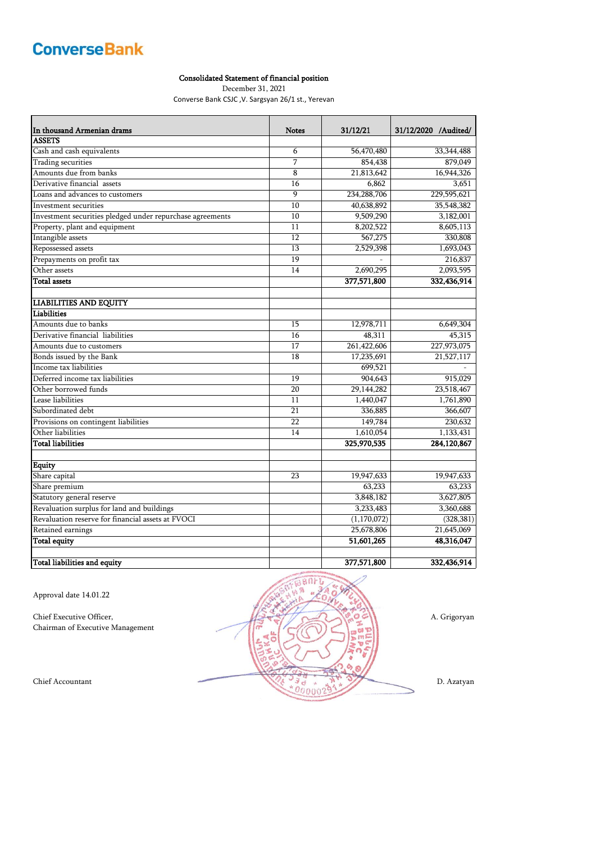#### Consolidated Statement of financial position

December 31, 2021

Converse Bank CSJC ,V. Sargsyan 26/1 st., Yerevan

| In thousand Armenian drams                                | <b>Notes</b> | 31/12/21              | 31/12/2020 /Audited/  |
|-----------------------------------------------------------|--------------|-----------------------|-----------------------|
| <b>ASSETS</b>                                             |              |                       |                       |
| Cash and cash equivalents                                 | 6            | 56,470,480            | 33, 344, 488          |
| <b>Trading securities</b>                                 | 7            | 854,438               | 879,049               |
| Amounts due from banks                                    | 8            | 21,813,642            | 16,944,326            |
| Derivative financial assets                               | 16           | 6,862                 | 3,651                 |
| Loans and advances to customers                           | 9            | 234,288,706           | 229,595,621           |
| Investment securities                                     | 10           | 40,638,892            | 35,548,382            |
| Investment securities pledged under repurchase agreements | 10           | 9,509,290             | 3,182,001             |
| Property, plant and equipment                             | 11           | 8,202,522             | 8,605,113             |
| Intangible assets                                         | 12           | 567,275               | 330,808               |
| Repossessed assets                                        | 13           | 2,529,398             | 1,693,043             |
| Prepayments on profit tax                                 | 19           |                       | 216,837               |
| Other assets                                              | 14           | 2,690,295             | 2,093,595             |
| <b>Total assets</b>                                       |              | 377,571,800           | 332,436,914           |
|                                                           |              |                       |                       |
| <b>LIABILITIES AND EQUITY</b><br>Liabilities              |              |                       |                       |
| Amounts due to banks                                      |              |                       |                       |
| Derivative financial liabilities                          | 15           | 12,978,711            | 6,649,304             |
|                                                           | 16<br>17     | 48,311<br>261,422,606 | 45,315<br>227,973,075 |
| Amounts due to customers                                  | 18           |                       |                       |
| Bonds issued by the Bank<br>Income tax liabilities        |              | 17,235,691            | 21,527,117            |
| Deferred income tax liabilities                           |              | 699,521               |                       |
|                                                           | 19           | 904,643               | 915,029               |
| Other borrowed funds<br>Lease liabilities                 | 20           | 29,144,282            | 23,518,467            |
|                                                           | 11<br>21     | 1,440,047             | 1,761,890             |
| Subordinated debt                                         | 22           | 336,885               | 366,607               |
| Provisions on contingent liabilities<br>Other liabilities |              | 149,784               | 230,632               |
| <b>Total liabilities</b>                                  | 14           | 1,610,054             | 1,133,431             |
|                                                           |              | 325,970,535           | 284,120,867           |
| <b>Equity</b>                                             |              |                       |                       |
| Share capital                                             | 23           | 19,947,633            | 19,947,633            |
| Share premium                                             |              | 63,233                | 63,233                |
| Statutory general reserve                                 |              | 3,848,182             | 3,627,805             |
| Revaluation surplus for land and buildings                |              | 3,233,483             | 3,360,688             |
| Revaluation reserve for financial assets at FVOCI         |              | (1,170,072)           | (328, 381)            |
| Retained earnings                                         |              | 25,678,806            | 21,645,069            |
| <b>Total equity</b>                                       |              | 51,601,265            | 48,316,047            |
| Total liabilities and equity                              |              | 377,571,800           | 332,436,914           |

Approval date 14.01.22

Chairman of Executive Management

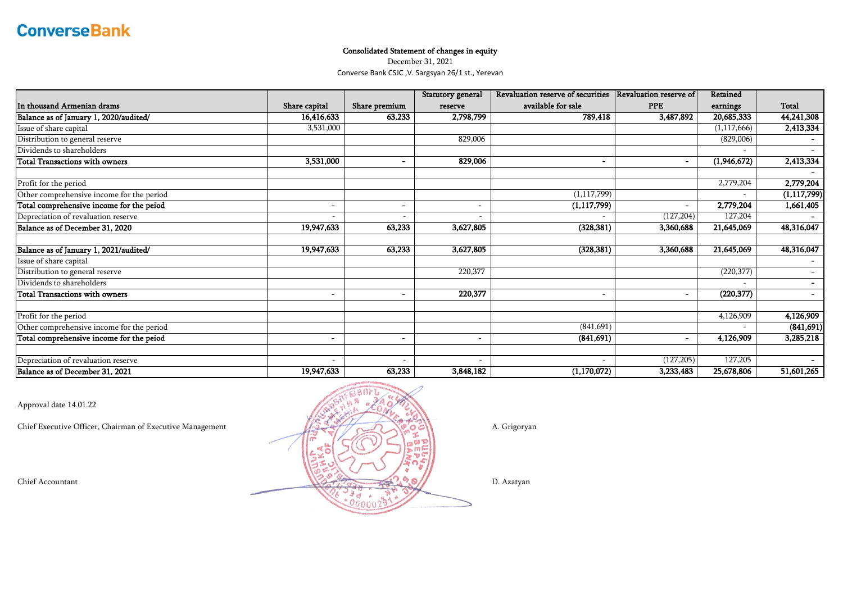### Consolidated Statement of changes in equity

December 31, 2021 Converse Bank CSJC ,V. Sargsyan 26/1 st., Yerevan

|                                           |                              |                          | Statutory general | Revaluation reserve of securities | <b>Revaluation reserve of</b> | Retained    |               |
|-------------------------------------------|------------------------------|--------------------------|-------------------|-----------------------------------|-------------------------------|-------------|---------------|
| In thousand Armenian drams                | Share capital                | Share premium            | reserve           | available for sale                | <b>PPE</b>                    | earnings    | <b>Total</b>  |
| Balance as of January 1, 2020/audited/    | 16,416,633                   | 63,233                   | 2,798,799         | 789,418                           | 3,487,892                     | 20,685,333  | 44,241,308    |
| Issue of share capital                    | 3,531,000                    |                          |                   |                                   |                               | (1,117,666) | 2,413,334     |
| Distribution to general reserve           |                              |                          | 829,006           |                                   |                               | (829,006)   |               |
| Dividends to shareholders                 |                              |                          |                   |                                   |                               |             |               |
| <b>Total Transactions with owners</b>     | 3,531,000                    | $\overline{\phantom{a}}$ | 829,006           |                                   | $\blacksquare$                | (1,946,672) | 2,413,334     |
| Profit for the period                     |                              |                          |                   |                                   |                               | 2,779,204   | 2,779,204     |
| Other comprehensive income for the period |                              |                          |                   | (1, 117, 799)                     |                               |             | (1, 117, 799) |
| Total comprehensive income for the peiod  | $\qquad \qquad \blacksquare$ | $\overline{\phantom{a}}$ |                   | (1, 117, 799)                     | $\blacksquare$                | 2,779,204   | 1,661,405     |
| Depreciation of revaluation reserve       | $\overline{\phantom{a}}$     | $\overline{\phantom{a}}$ |                   |                                   | (127, 204)                    | 127,204     |               |
| Balance as of December 31, 2020           | 19,947,633                   | 63,233                   | 3,627,805         | (328, 381)                        | 3,360,688                     | 21,645,069  | 48,316,047    |
| Balance as of January 1, 2021/audited/    | 19,947,633                   | 63,233                   | 3,627,805         | (328, 381)                        | 3,360,688                     | 21,645,069  | 48,316,047    |
| Issue of share capital                    |                              |                          |                   |                                   |                               |             |               |
| Distribution to general reserve           |                              |                          | 220,377           |                                   |                               | (220, 377)  | $\sim$        |
| Dividends to shareholders                 |                              |                          |                   |                                   |                               |             | $\sim$        |
| <b>Total Transactions with owners</b>     | $\qquad \qquad \blacksquare$ | $\overline{\phantom{a}}$ | 220,377           |                                   | ٠                             | (220, 377)  | $\sim$        |
| Profit for the period                     |                              |                          |                   |                                   |                               | 4,126,909   | 4,126,909     |
| Other comprehensive income for the period |                              |                          |                   | (841,691)                         |                               |             | (841, 691)    |
| Total comprehensive income for the peiod  | $\blacksquare$               | $\overline{\phantom{0}}$ |                   | (841, 691)                        | $\blacksquare$                | 4,126,909   | 3,285,218     |
| Depreciation of revaluation reserve       | $\overline{\phantom{a}}$     |                          |                   |                                   | (127, 205)                    | 127,205     |               |
| Balance as of December 31, 2021           | 19,947,633                   | 63,233                   | 3,848,182         | (1,170,072)                       | 3,233,483                     | 25,678,806  | 51,601,265    |

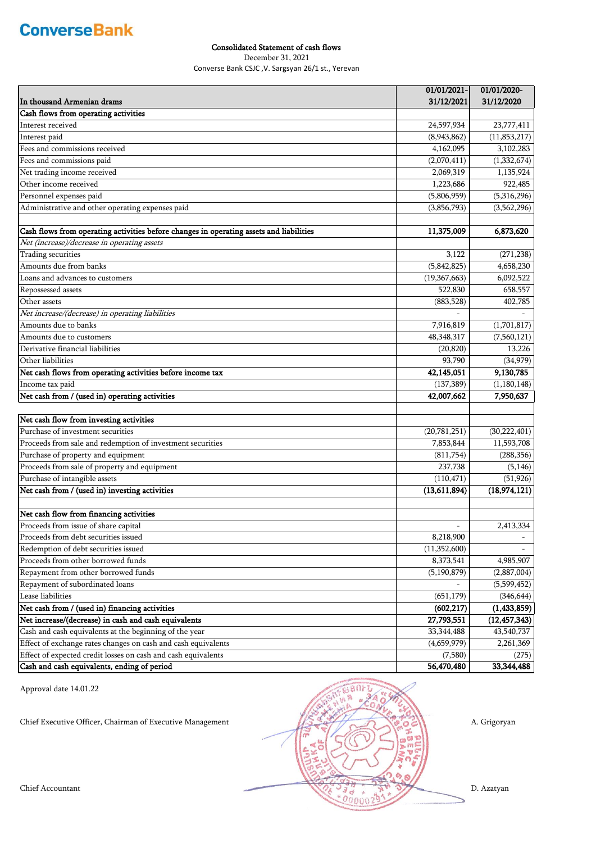### Consolidated Statement of cash flows

December 31, 2021

Converse Bank CSJC ,V. Sargsyan 26/1 st., Yerevan

|                                                                                         | 01/01/2021-    | 01/01/2020-    |
|-----------------------------------------------------------------------------------------|----------------|----------------|
| In thousand Armenian drams                                                              | 31/12/2021     | 31/12/2020     |
| Cash flows from operating activities                                                    |                |                |
| Interest received                                                                       | 24,597,934     | 23,777,411     |
| Interest paid                                                                           | (8,943,862)    | (11, 853, 217) |
| Fees and commissions received                                                           | 4,162,095      | 3,102,283      |
| Fees and commissions paid                                                               | (2,070,411)    | (1,332,674)    |
| Net trading income received                                                             | 2,069,319      | 1,135,924      |
| Other income received                                                                   | 1,223,686      | 922,485        |
| Personnel expenses paid                                                                 | (5,806,959)    | (5,316,296)    |
| Administrative and other operating expenses paid                                        | (3,856,793)    | (3,562,296)    |
|                                                                                         |                |                |
| Cash flows from operating activities before changes in operating assets and liabilities | 11,375,009     | 6,873,620      |
| Net (increase)/decrease in operating assets                                             |                |                |
| Trading securities                                                                      | 3,122          | (271, 238)     |
| Amounts due from banks                                                                  | (5,842,825)    | 4,658,230      |
| Loans and advances to customers                                                         | (19, 367, 663) | 6,092,522      |
| Repossessed assets                                                                      | 522,830        | 658,557        |
| Other assets                                                                            | (883, 528)     | 402,785        |
| Net increase/(decrease) in operating liabilities                                        |                |                |
| Amounts due to banks                                                                    | 7,916,819      | (1,701,817)    |
| Amounts due to customers                                                                | 48, 348, 317   | (7,560,121)    |
| Derivative financial liabilities                                                        | (20, 820)      | 13,226         |
| Other liabilities                                                                       | 93,790         | (34, 979)      |
| Net cash flows from operating activities before income tax                              | 42,145,051     | 9,130,785      |
| Income tax paid                                                                         | (137, 389)     | (1, 180, 148)  |
| Net cash from / (used in) operating activities                                          | 42,007,662     | 7,950,637      |
|                                                                                         |                |                |
| Net cash flow from investing activities                                                 |                |                |
| Purchase of investment securities                                                       | (20, 781, 251) | (30, 222, 401) |
| Proceeds from sale and redemption of investment securities                              | 7,853,844      | 11,593,708     |
| Purchase of property and equipment                                                      | (811,754)      | (288, 356)     |
| Proceeds from sale of property and equipment                                            | 237,738        | (5, 146)       |
| Purchase of intangible assets                                                           | (110, 471)     | (51, 926)      |
| Net cash from / (used in) investing activities                                          | (13,611,894)   | (18, 974, 121) |
|                                                                                         |                |                |
| Net cash flow from financing activities                                                 |                |                |
| Proceeds from issue of share capital                                                    | $\overline{a}$ | 2,413,334      |
| Proceeds from debt securities issued                                                    | 8,218,900      |                |
| Redemption of debt securities issued                                                    | (11, 352, 600) |                |
| Proceeds from other borrowed funds                                                      | 8,373,541      | 4,985,907      |
| Repayment from other borrowed funds                                                     | (5, 190, 879)  | (2,887,004)    |
| Repayment of subordinated loans                                                         |                | (5,599,452)    |
| Lease liabilities                                                                       | (651, 179)     | (346, 644)     |
| Net cash from / (used in) financing activities                                          | (602, 217)     | (1,433,859)    |
| Net increase/(decrease) in cash and cash equivalents                                    | 27,793,551     | (12, 457, 343) |
| Cash and cash equivalents at the beginning of the year                                  | 33, 344, 488   | 43,540,737     |
| Effect of exchange rates changes on cash and cash equivalents                           | (4,659,979)    | 2,261,369      |
| Effect of expected credit losses on cash and cash equivalents                           | (7,580)        | (275)          |
| Cash and cash equivalents, ending of period                                             | 56,470,480     | 33, 344, 488   |